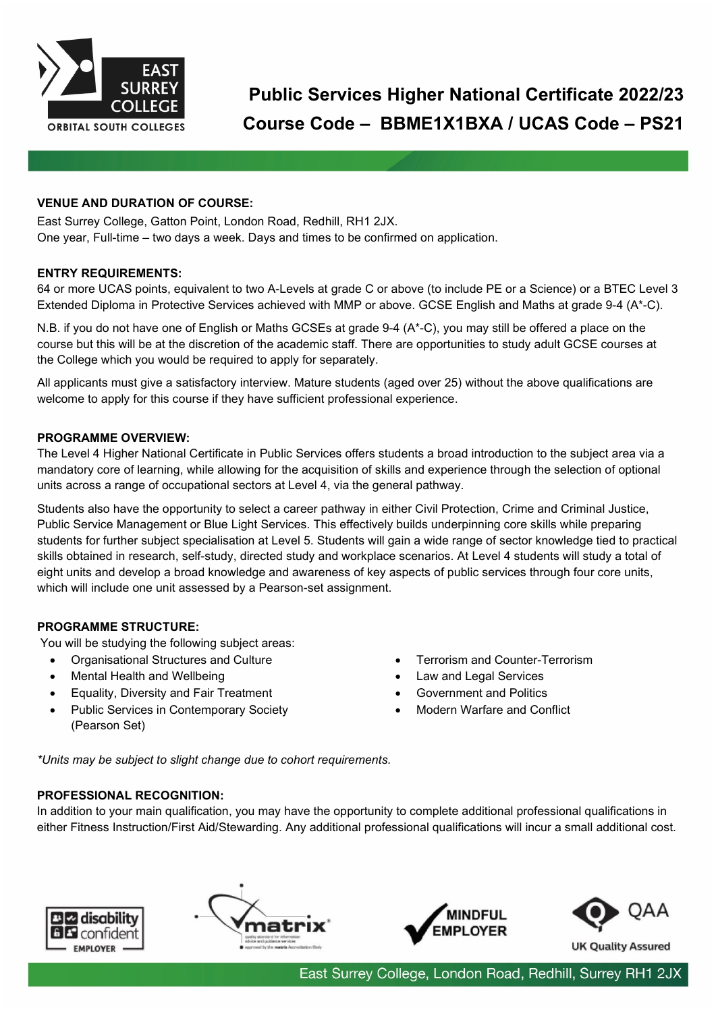

# **Public Services Higher National Certificate 2022/23 Course Code – BBME1X1BXA / UCAS Code – PS21**

### **VENUE AND DURATION OF COURSE:**

East Surrey College, Gatton Point, London Road, Redhill, RH1 2JX. One year, Full-time – two days a week. Days and times to be confirmed on application.

#### **ENTRY REQUIREMENTS:**

64 or more UCAS points, equivalent to two A-Levels at grade C or above (to include PE or a Science) or a BTEC Level 3 Extended Diploma in Protective Services achieved with MMP or above. GCSE English and Maths at grade 9-4 (A\*-C).

N.B. if you do not have one of English or Maths GCSEs at grade 9-4 (A\*-C), you may still be offered a place on the course but this will be at the discretion of the academic staff. There are opportunities to study adult GCSE courses at the College which you would be required to apply for separately.

All applicants must give a satisfactory interview. Mature students (aged over 25) without the above qualifications are welcome to apply for this course if they have sufficient professional experience.

#### **PROGRAMME OVERVIEW:**

The Level 4 Higher National Certificate in Public Services offers students a broad introduction to the subject area via a mandatory core of learning, while allowing for the acquisition of skills and experience through the selection of optional units across a range of occupational sectors at Level 4, via the general pathway.

Students also have the opportunity to select a career pathway in either Civil Protection, Crime and Criminal Justice, Public Service Management or Blue Light Services. This effectively builds underpinning core skills while preparing students for further subject specialisation at Level 5. Students will gain a wide range of sector knowledge tied to practical skills obtained in research, self-study, directed study and workplace scenarios. At Level 4 students will study a total of eight units and develop a broad knowledge and awareness of key aspects of public services through four core units, which will include one unit assessed by a Pearson-set assignment.

#### **PROGRAMME STRUCTURE:**

You will be studying the following subject areas:

- Organisational Structures and Culture
- Mental Health and Wellbeing
- Equality, Diversity and Fair Treatment
- Public Services in Contemporary Society
- (Pearson Set)
- Terrorism and Counter-Terrorism
- Law and Legal Services
- Government and Politics
- Modern Warfare and Conflict

*\*Units may be subject to slight change due to cohort requirements.*

## **PROFESSIONAL RECOGNITION:**

In addition to your main qualification, you may have the opportunity to complete additional professional qualifications in either Fitness Instruction/First Aid/Stewarding. Any additional professional qualifications will incur a small additional cost.